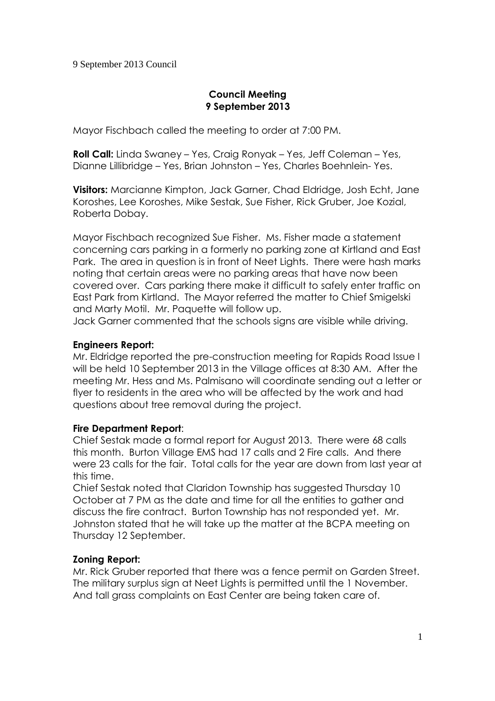## 9 September 2013 Council

# **Council Meeting 9 September 2013**

Mayor Fischbach called the meeting to order at 7:00 PM.

**Roll Call:** Linda Swaney – Yes, Craig Ronyak – Yes, Jeff Coleman – Yes, Dianne Lillibridge – Yes, Brian Johnston – Yes, Charles Boehnlein- Yes.

**Visitors:** Marcianne Kimpton, Jack Garner, Chad Eldridge, Josh Echt, Jane Koroshes, Lee Koroshes, Mike Sestak, Sue Fisher, Rick Gruber, Joe Kozial, Roberta Dobay.

Mayor Fischbach recognized Sue Fisher. Ms. Fisher made a statement concerning cars parking in a formerly no parking zone at Kirtland and East Park. The area in question is in front of Neet Lights. There were hash marks noting that certain areas were no parking areas that have now been covered over. Cars parking there make it difficult to safely enter traffic on East Park from Kirtland. The Mayor referred the matter to Chief Smigelski and Marty Motil. Mr. Paquette will follow up.

Jack Garner commented that the schools signs are visible while driving.

# **Engineers Report:**

Mr. Eldridge reported the pre-construction meeting for Rapids Road Issue I will be held 10 September 2013 in the Village offices at 8:30 AM. After the meeting Mr. Hess and Ms. Palmisano will coordinate sending out a letter or flyer to residents in the area who will be affected by the work and had questions about tree removal during the project.

#### **Fire Department Report**:

Chief Sestak made a formal report for August 2013. There were 68 calls this month. Burton Village EMS had 17 calls and 2 Fire calls. And there were 23 calls for the fair. Total calls for the year are down from last year at this time.

Chief Sestak noted that Claridon Township has suggested Thursday 10 October at 7 PM as the date and time for all the entities to gather and discuss the fire contract. Burton Township has not responded yet. Mr. Johnston stated that he will take up the matter at the BCPA meeting on Thursday 12 September.

# **Zoning Report:**

Mr. Rick Gruber reported that there was a fence permit on Garden Street. The military surplus sign at Neet Lights is permitted until the 1 November. And tall grass complaints on East Center are being taken care of.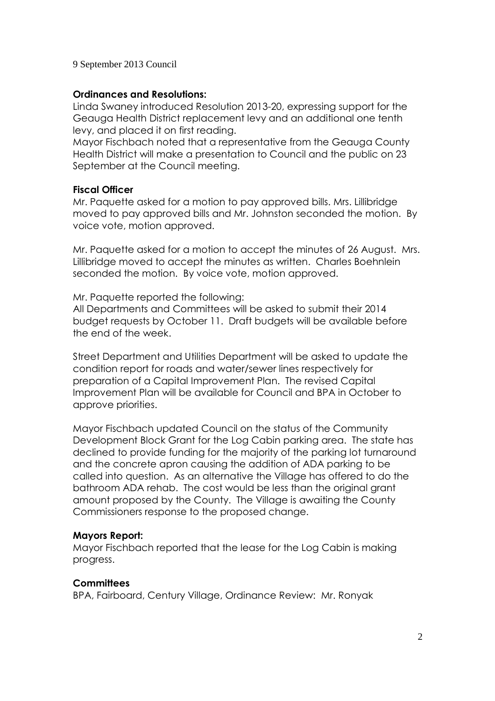### 9 September 2013 Council

## **Ordinances and Resolutions:**

Linda Swaney introduced Resolution 2013-20, expressing support for the Geauga Health District replacement levy and an additional one tenth levy, and placed it on first reading.

Mayor Fischbach noted that a representative from the Geauga County Health District will make a presentation to Council and the public on 23 September at the Council meeting.

### **Fiscal Officer**

Mr. Paquette asked for a motion to pay approved bills. Mrs. Lillibridge moved to pay approved bills and Mr. Johnston seconded the motion. By voice vote, motion approved.

Mr. Paquette asked for a motion to accept the minutes of 26 August. Mrs. Lillibridge moved to accept the minutes as written. Charles Boehnlein seconded the motion. By voice vote, motion approved.

Mr. Paquette reported the following:

All Departments and Committees will be asked to submit their 2014 budget requests by October 11. Draft budgets will be available before the end of the week.

Street Department and Utilities Department will be asked to update the condition report for roads and water/sewer lines respectively for preparation of a Capital Improvement Plan. The revised Capital Improvement Plan will be available for Council and BPA in October to approve priorities.

Mayor Fischbach updated Council on the status of the Community Development Block Grant for the Log Cabin parking area. The state has declined to provide funding for the majority of the parking lot turnaround and the concrete apron causing the addition of ADA parking to be called into question. As an alternative the Village has offered to do the bathroom ADA rehab. The cost would be less than the original grant amount proposed by the County. The Village is awaiting the County Commissioners response to the proposed change.

# **Mayors Report:**

Mayor Fischbach reported that the lease for the Log Cabin is making progress.

# **Committees**

BPA, Fairboard, Century Village, Ordinance Review: Mr. Ronyak